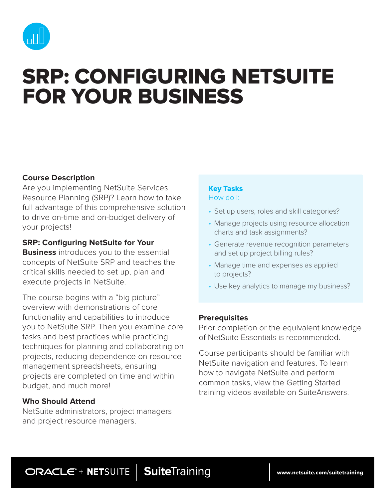

# SRP: CONFIGURING NETSUITE FOR YOUR BUSINESS

# **Course Description**

Are you implementing NetSuite Services Resource Planning (SRP)? Learn how to take full advantage of this comprehensive solution to drive on-time and on-budget delivery of your projects!

## **SRP: Configuring NetSuite for Your**

**Business** introduces you to the essential concepts of NetSuite SRP and teaches the critical skills needed to set up, plan and execute projects in NetSuite.

The course begins with a "big picture" overview with demonstrations of core functionality and capabilities to introduce you to NetSuite SRP. Then you examine core tasks and best practices while practicing techniques for planning and collaborating on projects, reducing dependence on resource management spreadsheets, ensuring projects are completed on time and within budget, and much more!

## **Who Should Attend**

NetSuite administrators, project managers and project resource managers.

#### Key Tasks How do I:

- Set up users, roles and skill categories?
- Manage projects using resource allocation charts and task assignments?
- Generate revenue recognition parameters and set up project billing rules?
- Manage time and expenses as applied to projects?
- Use key analytics to manage my business?

## **Prerequisites**

Prior completion or the equivalent knowledge of NetSuite Essentials is recommended.

Course participants should be familiar with NetSuite navigation and features. To learn how to navigate NetSuite and perform common tasks, view the Getting Started training videos available on SuiteAnswers.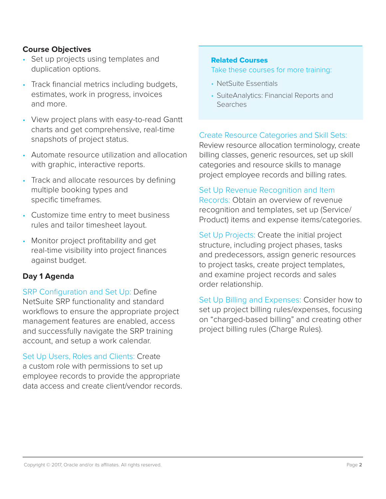# **Course Objectives**

- Set up projects using templates and duplication options.
- Track financial metrics including budgets, estimates, work in progress, invoices and more.
- View project plans with easy-to-read Gantt charts and get comprehensive, real-time snapshots of project status.
- Automate resource utilization and allocation with graphic, interactive reports.
- Track and allocate resources by defining multiple booking types and specific timeframes.
- Customize time entry to meet business rules and tailor timesheet layout.
- Monitor project profitability and get real-time visibility into project finances against budget.

# **Day 1 Agenda**

SRP Configuration and Set Up: Define NetSuite SRP functionality and standard workflows to ensure the appropriate project management features are enabled, access and successfully navigate the SRP training account, and setup a work calendar.

Set Up Users, Roles and Clients: Create a custom role with permissions to set up employee records to provide the appropriate data access and create client/vendor records.

#### Related Courses

Take these courses for more training:

- NetSuite Essentials
- SuiteAnalytics: Financial Reports and **Searches**

# Create Resource Categories and Skill Sets:

Review resource allocation terminology, create billing classes, generic resources, set up skill categories and resource skills to manage project employee records and billing rates.

## Set Up Revenue Recognition and Item

Records: Obtain an overview of revenue recognition and templates, set up (Service/ Product) items and expense items/categories.

Set Up Projects: Create the initial project structure, including project phases, tasks and predecessors, assign generic resources to project tasks, create project templates, and examine project records and sales order relationship.

Set Up Billing and Expenses: Consider how to set up project billing rules/expenses, focusing on "charged-based billing" and creating other project billing rules (Charge Rules).